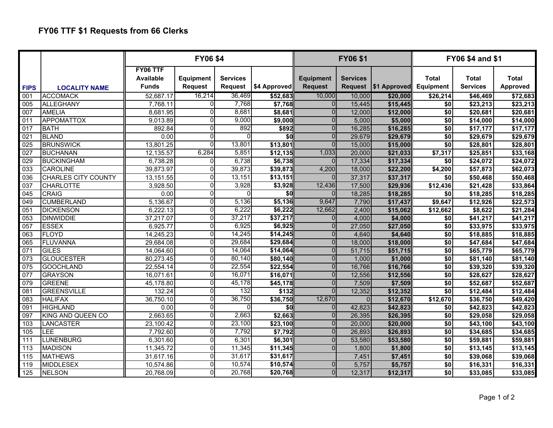|                  |                            | <b>FY06 \$4</b>                       |                                    |                                   |              | <b>FY06 \$1</b>                    |                 |                        | <b>FY06 \$4 and \$1</b>   |                          |                                 |  |
|------------------|----------------------------|---------------------------------------|------------------------------------|-----------------------------------|--------------|------------------------------------|-----------------|------------------------|---------------------------|--------------------------|---------------------------------|--|
| <b>FIPS</b>      | <b>LOCALITY NAME</b>       | FY06 TTF<br>Available<br><b>Funds</b> | <b>Equipment</b><br><b>Request</b> | <b>Services</b><br><b>Request</b> | \$4 Approved | <b>Equipment</b><br><b>Request</b> | <b>Services</b> | Request   \$1 Approved | Total<br><b>Equipment</b> | Total<br><b>Services</b> | <b>Total</b><br><b>Approved</b> |  |
| 001              | <b>ACCOMACK</b>            | 52,687.17                             | 16,214                             | 36,469                            | \$52,683     | 10,000                             | 10,000          | \$20,000               | \$26,214                  | \$46,469                 | \$72,683                        |  |
| 005              | <b>ALLEGHANY</b>           | 7,768.11                              | $\Omega$                           | 7,768                             | \$7,768      | $\Omega$                           | 15,445          | \$15,445               | $\overline{30}$           | \$23,213                 | \$23,213                        |  |
| 007              | <b>AMELIA</b>              | 8,681.95                              |                                    | 8,681                             | \$8,681      | $\Omega$                           | 12,000          | \$12,000               | \$0                       | \$20,681                 | \$20,681                        |  |
| 011              | <b>APPOMATTOX</b>          | 9,013.89                              | ŋ                                  | 9,000                             | \$9,000      | $\overline{0}$                     | 5,000           | \$5,000                | $\overline{50}$           | \$14,000                 | \$14,000                        |  |
| 017              | <b>BATH</b>                | 892.84                                | O                                  | 892                               | \$892        | $\Omega$                           | 16,285          | \$16,285               | $\overline{50}$           | \$17,177                 | \$17,177                        |  |
| 021              | <b>BLAND</b>               | 0.00                                  |                                    | $\Omega$                          | \$0          | $\Omega$                           | 29,679          | \$29,679               | $\overline{50}$           | \$29,679                 | \$29,679                        |  |
| $\overline{025}$ | <b>BRUNSWICK</b>           | 13,801.25                             | <sup>0</sup>                       | 13,801                            | \$13,801     | $\Omega$                           | 15,000          | \$15,000               | \$0                       | \$28,801                 | \$28,801                        |  |
| 027              | <b>BUCHANAN</b>            | 12,135.57                             | 6,284                              | 5,851                             | \$12,135     | 1,033                              | 20,000          | \$21,033               | \$7,317                   | \$25,851                 | \$33,168                        |  |
| 029              | <b>BUCKINGHAM</b>          | 6,738.28                              |                                    | 6,738                             | \$6,738      | $\Omega$                           | 17,334          | \$17,334               | \$0                       | \$24,072                 | \$24,072                        |  |
| $\overline{033}$ | <b>CAROLINE</b>            | 39,873.97                             | $\Omega$                           | 39,873                            | \$39,873     | 4,200                              | 18,000          | \$22,200               | \$4,200                   | \$57,873                 | \$62,073                        |  |
| 036              | <b>CHARLES CITY COUNTY</b> | 13,151.55                             | $\Omega$                           | 13,151                            | \$13,151     | $\Omega$                           | 37,317          | \$37,317               | \$0                       | \$50,468                 | \$50,468                        |  |
| 037              | <b>CHARLOTTE</b>           | 3,928.50                              | ŋ                                  | 3,928                             | \$3,928      | 12,436                             | 17,500          | \$29,936               | \$12,436                  | \$21,428                 | \$33,864                        |  |
| 045              | <b>CRAIG</b>               | 0.00                                  | $\Omega$                           | $\Omega$                          | \$0          | $\Omega$                           | 18,285          | \$18,285               | \$0                       | \$18,285                 | \$18,285                        |  |
| 049              | <b>CUMBERLAND</b>          | 5,136.67                              | $\Omega$                           | 5,136                             | 55,136       | 9,647                              | 7,790           | \$17,437               | \$9,647                   | \$12,926                 | \$22,573                        |  |
| 051              | <b>DICKENSON</b>           | 6,222.13                              |                                    | 6,222                             | \$6,222      | 12,662                             | 2,400           | \$15,062               | \$12,662                  | \$8,622                  | \$21,284                        |  |
| 053              | <b>DINWIDDIE</b>           | 37,217.07                             | $\Omega$                           | 37,217                            | \$37,217     | $\Omega$                           | 4,000           | \$4,000                | \$0                       | \$41,217                 | \$41,217                        |  |
| 057              | <b>ESSEX</b>               | 6,925.77                              | $\Omega$                           | 6,925                             | \$6,925      | $\overline{0}$                     | 27,050          | \$27,050               | $\sqrt{50}$               | \$33,975                 | \$33,975                        |  |
| $\overline{063}$ | FLOYD                      | 14,245.23                             | $\Omega$                           | 14,245                            | \$14,245     | $\Omega$                           | 4,640           | \$4,640                | $\overline{50}$           | \$18,885                 | \$18,885                        |  |
| 065              | <b>FLUVANNA</b>            | 29,684.08                             | $\Omega$                           | 29,684                            | \$29,684     | $\Omega$                           | 18,000          | \$18,000               | $\overline{50}$           | \$47,684                 | \$47,684                        |  |
| 071              | <b>GILES</b>               | 14,064.60                             | $\Omega$                           | 14,064                            | \$14,064     | $\Omega$                           | 51,715          | \$51,715               | \$0                       | \$65,779                 | \$65,779                        |  |
| 073              | <b>GLOUCESTER</b>          | 80,273.45                             | ∩                                  | 80,140                            | \$80,140     | $\Omega$                           | 1,000           | \$1,000                | $\overline{50}$           | \$81,140                 | \$81,140                        |  |
| 075              | <b>GOOCHLAND</b>           | 22,554.14                             | $\Omega$                           | 22,554                            | \$22,554     | $\Omega$                           | 16,766          | \$16,766               | $\overline{50}$           | \$39,320                 | \$39,320                        |  |
| $\overline{077}$ | <b>GRAYSON</b>             | 16,071.61                             | $\Omega$                           | 16,071                            | \$16,071     | $\Omega$                           | 12,556          | \$12,556               | $\overline{50}$           | \$28,627                 | \$28,627                        |  |
| 079              | <b>GREENE</b>              | 45,178.80                             | $\Omega$                           | 45,178                            | \$45,178     | $\Omega$                           | 7,509           | \$7,509                | $\overline{50}$           | \$52,687                 | \$52,687                        |  |
| 081              | <b>GREENSVILLE</b>         | 132.24                                | $\Omega$                           | 132                               | \$132        | $\Omega$                           | 12,352          | \$12,352               | $\overline{50}$           | $\sqrt{$12,484}$         | \$12,484                        |  |
| 083              | <b>HALIFAX</b>             | 36,750.10                             | $\Omega$                           | 36,750                            | 336,750      | 12,670                             | $\Omega$        | \$12,670               | \$12,670                  | \$36,750                 | \$49,420                        |  |
| 091              | <b>HIGHLAND</b>            | 0.00                                  | $\Omega$                           | $\Omega$                          | \$0          | $\Omega$                           | 42,823          | \$42,823               | $\overline{50}$           | \$42,823                 | \$42,823                        |  |
| 097              | <b>KING AND QUEEN CO</b>   | 2,663.65                              | <sup>n</sup>                       | 2,663                             | \$2,663      | $\Omega$                           | 26,395          | \$26,395               | \$0                       | \$29,058                 | \$29,058                        |  |
| 103              | <b>LANCASTER</b>           | 23,100.42                             | $\Omega$                           | 23,100                            | \$23,100     | $\overline{0}$                     | 20,000          | \$20,000               | \$0                       | \$43,100                 | \$43,100                        |  |
| 105              | LEE                        | 7,792.60                              | $\Omega$                           | 7,792                             | \$7,792      | $\Omega$                           | 26,893          | \$26,893               | $\sqrt{50}$               | \$34,685                 | \$34,685                        |  |
| 111              | <b>LUNENBURG</b>           | 6,301.60                              | $\Omega$                           | 6,301                             | \$6,301      | $\Omega$                           | 53,580          | \$53,580               | $\overline{50}$           | \$59,881                 | \$59,881                        |  |
| 113              | <b>MADISON</b>             | 11,345.72                             | $\Omega$                           | 11,345                            | \$11,345     | $\Omega$                           | 1,800           | \$1,800                | \$0                       | \$13,145                 | \$13,145                        |  |
| 115              | <b>MATHEWS</b>             | 31,617.16                             | $\Omega$                           | 31,617                            | \$31,617     |                                    | 7,451           | \$7,451                | \$0                       | \$39,068                 | \$39,068                        |  |
| 119              | <b>MIDDLESEX</b>           | 10,574.86                             |                                    | 10,574                            | \$10,574     | $\Omega$                           | 5,757           | \$5,757                | $\overline{50}$           | \$16,331                 | \$16,331                        |  |
| 125              | <b>NELSON</b>              | 20,768.09                             | $\Omega$                           | 20,768                            | \$20,768     | $\Omega$                           | 12,317          | \$12,317               | $\overline{50}$           | \$33,085                 | \$33,085                        |  |